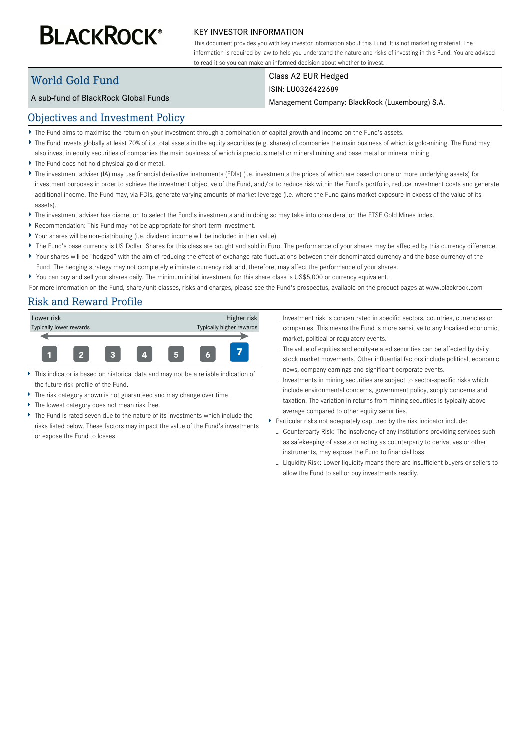# **BLACKROCK®**

#### KEY INVESTOR INFORMATION

This document provides you with key investor information about this Fund. It is not marketing material. The information is required by law to help you understand the nature and risks of investing in this Fund. You are advised to read it so you can make an informed decision about whether to invest.

## World Gold Fund

# Class A2 EUR Hedged

### ISIN: LU0326422689

Management Company: BlackRock (Luxembourg) S.A.

## Objectives and Investment Policy

A sub-fund of BlackRock Global Funds

- The Fund aims to maximise the return on your investment through a combination of capital growth and income on the Fund's assets.
- ▶ The Fund invests globally at least 70% of its total assets in the equity securities (e.g. shares) of companies the main business of which is gold-mining. The Fund may
- also invest in equity securities of companies the main business of which is precious metal or mineral mining and base metal or mineral mining.
- The Fund does not hold physical gold or metal.
- ▶ The investment adviser (IA) may use financial derivative instruments (FDIs) (i.e. investments the prices of which are based on one or more underlying assets) for investment purposes in order to achieve the investment objective of the Fund, and/or to reduce risk within the Fund's portfolio, reduce investment costs and generate additional income. The Fund may, via FDIs, generate varying amounts of market leverage (i.e. where the Fund gains market exposure in excess of the value of its assets).
- ▶ The investment adviser has discretion to select the Fund's investments and in doing so may take into consideration the FTSE Gold Mines Index.
- Recommendation: This Fund may not be appropriate for short-term investment.
- Your shares will be non-distributing (i.e. dividend income will be included in their value).
- ▶ The Fund's base currency is US Dollar. Shares for this class are bought and sold in Euro. The performance of your shares may be affected by this currency difference.
- Your shares will be "hedged" with the aim of reducing the effect of exchange rate fluctuations between their denominated currency and the base currency of the Fund. The hedging strategy may not completely eliminate currency risk and, therefore, may affect the performance of your shares.
- You can buy and sell your shares daily. The minimum initial investment for this share class is US\$5,000 or currency equivalent.

For more information on the Fund, share/unit classes, risks and charges, please see the Fund's prospectus, available on the product pages at www.blackrock.com

## Risk and Reward Profile



- This indicator is based on historical data and may not be a reliable indication of the future risk profile of the Fund.
- The risk category shown is not guaranteed and may change over time.
- The lowest category does not mean risk free.
- The Fund is rated seven due to the nature of its investments which include the risks listed below. These factors may impact the value of the Fund's investments or expose the Fund to losses.
- Investment risk is concentrated in specific sectors, countries, currencies or companies. This means the Fund is more sensitive to any localised economic, market, political or regulatory events.
- The value of equities and equity-related securities can be affected by daily stock market movements. Other influential factors include political, economic news, company earnings and significant corporate events.
- Investments in mining securities are subject to sector-specific risks which include environmental concerns, government policy, supply concerns and taxation. The variation in returns from mining securities is typically above average compared to other equity securities.
- Particular risks not adequately captured by the risk indicator include:
	- Counterparty Risk: The insolvency of any institutions providing services such as safekeeping of assets or acting as counterparty to derivatives or other instruments, may expose the Fund to financial loss.
	- Liquidity Risk: Lower liquidity means there are insufficient buyers or sellers to allow the Fund to sell or buy investments readily.